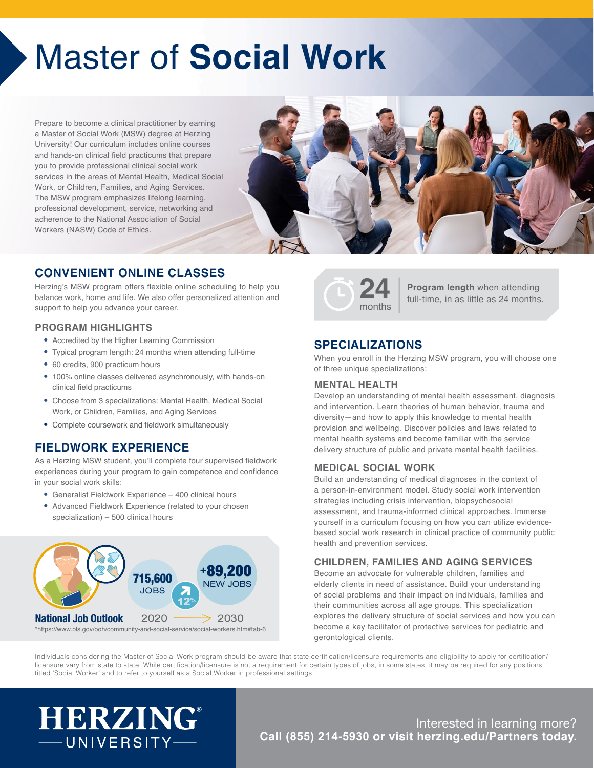# Master of **Social Work**

Prepare to become a clinical practitioner by earning a Master of Social Work (MSW) degree at Herzing University! Our curriculum includes online courses and hands-on clinical field practicums that prepare you to provide professional clinical social work services in the areas of Mental Health, Medical Social Work, or Children, Families, and Aging Services. The MSW program emphasizes lifelong learning, professional development, service, networking and adherence to the National Association of Social Workers (NASW) Code of Ethics.

### **CONVENIENT ONLINE CLASSES**

Herzing's MSW program offers flexible online scheduling to help you balance work, home and life. We also offer personalized attention and support to help you advance your career.

### **PROGRAM HIGHLIGHTS**

- Accredited by the Higher Learning Commission
- Typical program length: 24 months when attending full-time
- 60 credits, 900 practicum hours
- 100% online classes delivered asynchronously, with hands-on clinical field practicums
- Choose from 3 specializations: Mental Health, Medical Social Work, or Children, Families, and Aging Services
- Complete coursework and fieldwork simultaneously

### **FIELDWORK EXPERIENCE**

As a Herzing MSW student, you'll complete four supervised fieldwork experiences during your program to gain competence and confidence in your social work skills:

- Generalist Fieldwork Experience 400 clinical hours
- Advanced Fieldwork Experience (related to your chosen specialization) – 500 clinical hours





**Program length** when attending full-time, in as little as 24 months.

### **SPECIALIZATIONS**

When you enroll in the Herzing MSW program, you will choose one of three unique specializations:

### **MENTAL HEALTH**

Develop an understanding of mental health assessment, diagnosis and intervention. Learn theories of human behavior, trauma and diversity—and how to apply this knowledge to mental health provision and wellbeing. Discover policies and laws related to mental health systems and become familiar with the service delivery structure of public and private mental health facilities.

### **MEDICAL SOCIAL WORK**

Build an understanding of medical diagnoses in the context of a person-in-environment model. Study social work intervention strategies including crisis intervention, biopsychosocial assessment, and trauma-informed clinical approaches. Immerse yourself in a curriculum focusing on how you can utilize evidencebased social work research in clinical practice of community public health and prevention services.

### **CHILDREN, FAMILIES AND AGING SERVICES**

Become an advocate for vulnerable children, families and elderly clients in need of assistance. Build your understanding of social problems and their impact on individuals, families and their communities across all age groups. This specialization explores the delivery structure of social services and how you can become a key facilitator of protective services for pediatric and gerontological clients.

Individuals considering the Master of Social Work program should be aware that state certification/licensure requirements and eligibility to apply for certification/ licensure vary from state to state. While certification/licensure is not a requirement for certain types of jobs, in some states, it may be required for any positions titled 'Social Worker' and to refer to yourself as a Social Worker in professional settings.

# **HERZING®** -UNIVERSITY-

### Interested in learning more? **Call (855) 214-5930 or visit [herzing.edu](www.herzing.edu/partners)/Partners today.**